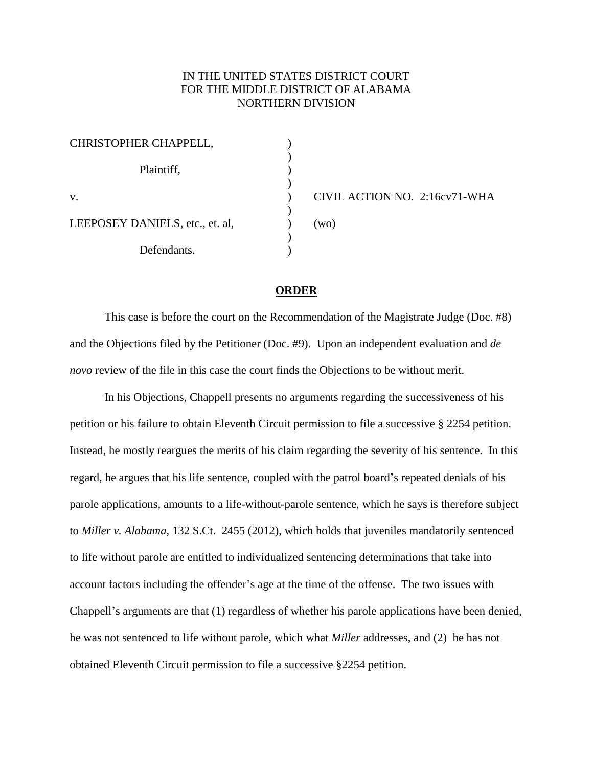## IN THE UNITED STATES DISTRICT COURT FOR THE MIDDLE DISTRICT OF ALABAMA NORTHERN DIVISION

| CHRISTOPHER CHAPPELL,           |            |
|---------------------------------|------------|
|                                 |            |
| Plaintiff,                      |            |
|                                 |            |
| V.                              | <b>CIV</b> |
|                                 |            |
| LEEPOSEY DANIELS, etc., et. al, | (wo)       |
|                                 |            |
| Defendants.                     |            |

) CIVIL ACTION NO. 2:16cv71-WHA

## **ORDER**

This case is before the court on the Recommendation of the Magistrate Judge (Doc. #8) and the Objections filed by the Petitioner (Doc. #9). Upon an independent evaluation and *de novo* review of the file in this case the court finds the Objections to be without merit.

In his Objections, Chappell presents no arguments regarding the successiveness of his petition or his failure to obtain Eleventh Circuit permission to file a successive § 2254 petition. Instead, he mostly reargues the merits of his claim regarding the severity of his sentence. In this regard, he argues that his life sentence, coupled with the patrol board's repeated denials of his parole applications, amounts to a life-without-parole sentence, which he says is therefore subject to *Miller v. Alabama*, 132 S.Ct. 2455 (2012), which holds that juveniles mandatorily sentenced to life without parole are entitled to individualized sentencing determinations that take into account factors including the offender's age at the time of the offense. The two issues with Chappell's arguments are that (1) regardless of whether his parole applications have been denied, he was not sentenced to life without parole, which what *Miller* addresses, and (2) he has not obtained Eleventh Circuit permission to file a successive §2254 petition.